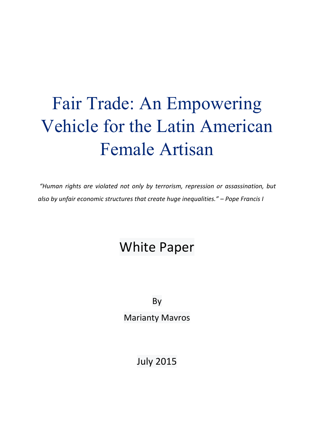# Fair Trade: An Empowering Vehicle for the Latin American Female Artisan

*"Human rights are violated not only by terrorism, repression or assassination, but*  also by unfair economic structures that create huge inequalities." – Pope Francis I

## **White Paper**

By

**Marianty Mavros** 

July 2015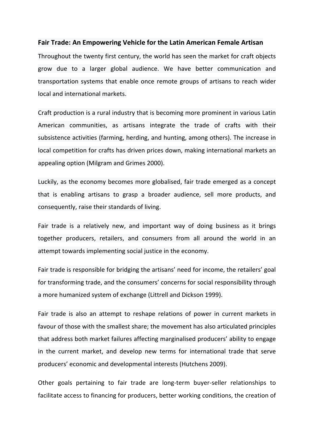#### **Fair Trade: An Empowering Vehicle for the Latin American Female Artisan**

Throughout the twenty first century, the world has seen the market for craft objects grow due to a larger global audience. We have better communication and transportation systems that enable once remote groups of artisans to reach wider local and international markets.

Craft production is a rural industry that is becoming more prominent in various Latin American communities, as artisans integrate the trade of crafts with their subsistence activities (farming, herding, and hunting, among others). The increase in local competition for crafts has driven prices down, making international markets an appealing option (Milgram and Grimes 2000).

Luckily, as the economy becomes more globalised, fair trade emerged as a concept that is enabling artisans to grasp a broader audience, sell more products, and consequently, raise their standards of living.

Fair trade is a relatively new, and important way of doing business as it brings together producers, retailers, and consumers from all around the world in an attempt towards implementing social justice in the economy.

Fair trade is responsible for bridging the artisans' need for income, the retailers' goal for transforming trade, and the consumers' concerns for social responsibility through a more humanized system of exchange (Littrell and Dickson 1999).

Fair trade is also an attempt to reshape relations of power in current markets in favour of those with the smallest share; the movement has also articulated principles that address both market failures affecting marginalised producers' ability to engage in the current market, and develop new terms for international trade that serve producers' economic and developmental interests (Hutchens 2009).

Other goals pertaining to fair trade are long-term buyer-seller relationships to facilitate access to financing for producers, better working conditions, the creation of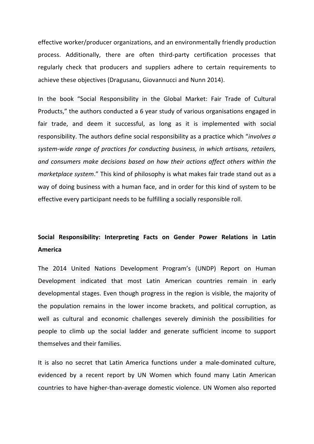effective worker/producer organizations, and an environmentally friendly production process. Additionally, there are often third-party certification processes that regularly check that producers and suppliers adhere to certain requirements to achieve these objectives (Dragusanu, Giovannucci and Nunn 2014).

In the book "Social Responsibility in the Global Market: Fair Trade of Cultural Products," the authors conducted a 6 year study of various organisations engaged in fair trade, and deem it successful, as long as it is implemented with social responsibility. The authors define social responsibility as a practice which "*involves a* system-wide range of practices for conducting business, in which artisans, retailers, and consumers make decisions based on how their actions affect others within the *marketplace system.*" This kind of philosophy is what makes fair trade stand out as a way of doing business with a human face, and in order for this kind of system to be effective every participant needs to be fulfilling a socially responsible roll.

### Social Responsibility: Interpreting Facts on Gender Power Relations in Latin **America**

The 2014 United Nations Development Program's (UNDP) Report on Human Development indicated that most Latin American countries remain in early developmental stages. Even though progress in the region is visible, the majority of the population remains in the lower income brackets, and political corruption, as well as cultural and economic challenges severely diminish the possibilities for people to climb up the social ladder and generate sufficient income to support themselves and their families.

It is also no secret that Latin America functions under a male-dominated culture, evidenced by a recent report by UN Women which found many Latin American countries to have higher-than-average domestic violence. UN Women also reported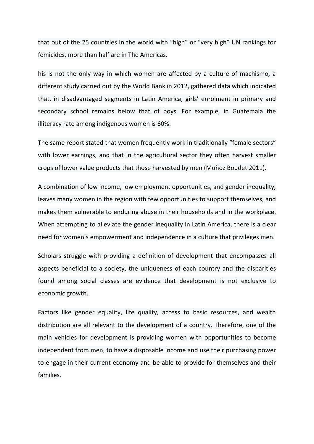that out of the 25 countries in the world with "high" or "very high" UN rankings for femicides, more than half are in The Americas.

his is not the only way in which women are affected by a culture of machismo, a different study carried out by the World Bank in 2012, gathered data which indicated that, in disadvantaged segments in Latin America, girls' enrolment in primary and secondary school remains below that of boys. For example, in Guatemala the illiteracy rate among indigenous women is 60%.

The same report stated that women frequently work in traditionally "female sectors" with lower earnings, and that in the agricultural sector they often harvest smaller crops of lower value products that those harvested by men (Muñoz Boudet 2011).

A combination of low income, low employment opportunities, and gender inequality, leaves many women in the region with few opportunities to support themselves, and makes them vulnerable to enduring abuse in their households and in the workplace. When attempting to alleviate the gender inequality in Latin America, there is a clear need for women's empowerment and independence in a culture that privileges men.

Scholars struggle with providing a definition of development that encompasses all aspects beneficial to a society, the uniqueness of each country and the disparities found among social classes are evidence that development is not exclusive to economic growth.

Factors like gender equality, life quality, access to basic resources, and wealth distribution are all relevant to the development of a country. Therefore, one of the main vehicles for development is providing women with opportunities to become independent from men, to have a disposable income and use their purchasing power to engage in their current economy and be able to provide for themselves and their families.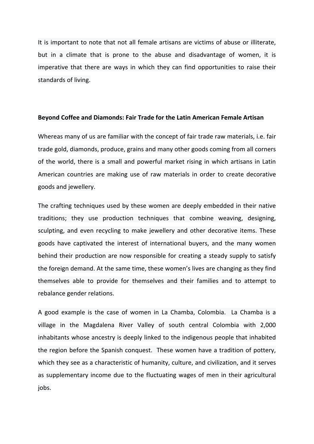It is important to note that not all female artisans are victims of abuse or illiterate, but in a climate that is prone to the abuse and disadvantage of women, it is imperative that there are ways in which they can find opportunities to raise their standards of living.

#### **Beyond Coffee and Diamonds: Fair Trade for the Latin American Female Artisan**

Whereas many of us are familiar with the concept of fair trade raw materials, i.e. fair trade gold, diamonds, produce, grains and many other goods coming from all corners of the world, there is a small and powerful market rising in which artisans in Latin American countries are making use of raw materials in order to create decorative goods and jewellery.

The crafting techniques used by these women are deeply embedded in their native traditions; they use production techniques that combine weaving, designing, sculpting, and even recycling to make jewellery and other decorative items. These goods have captivated the interest of international buyers, and the many women behind their production are now responsible for creating a steady supply to satisfy the foreign demand. At the same time, these women's lives are changing as they find themselves able to provide for themselves and their families and to attempt to rebalance gender relations.

A good example is the case of women in La Chamba, Colombia. La Chamba is a village in the Magdalena River Valley of south central Colombia with 2,000 inhabitants whose ancestry is deeply linked to the indigenous people that inhabited the region before the Spanish conquest. These women have a tradition of pottery, which they see as a characteristic of humanity, culture, and civilization, and it serves as supplementary income due to the fluctuating wages of men in their agricultural jobs.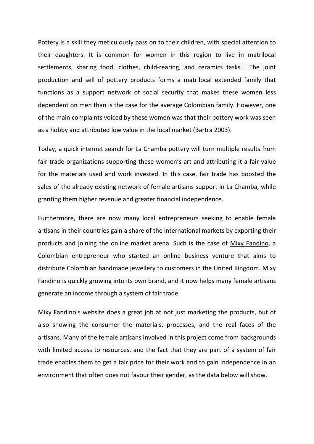Pottery is a skill they meticulously pass on to their children, with special attention to their daughters. It is common for women in this region to live in matrilocal settlements, sharing food, clothes, child-rearing, and ceramics tasks. The joint production and sell of pottery products forms a matrilocal extended family that functions as a support network of social security that makes these women less dependent on men than is the case for the average Colombian family. However, one of the main complaints voiced by these women was that their pottery work was seen as a hobby and attributed low value in the local market (Bartra 2003).

Today, a quick internet search for La Chamba pottery will turn multiple results from fair trade organizations supporting these women's art and attributing it a fair value for the materials used and work invested. In this case, fair trade has boosted the sales of the already existing network of female artisans support in La Chamba, while granting them higher revenue and greater financial independence.

Furthermore, there are now many local entrepreneurs seeking to enable female artisans in their countries gain a share of the international markets by exporting their products and joining the online market arena. Such is the case of Mixy Fandino, a Colombian entrepreneur who started an online business venture that aims to distribute Colombian handmade jewellery to customers in the United Kingdom. Mixy Fandino is quickly growing into its own brand, and it now helps many female artisans generate an income through a system of fair trade.

Mixy Fandino's website does a great job at not just marketing the products, but of also showing the consumer the materials, processes, and the real faces of the artisans. Many of the female artisans involved in this project come from backgrounds with limited access to resources, and the fact that they are part of a system of fair trade enables them to get a fair price for their work and to gain independence in an environment that often does not favour their gender, as the data below will show.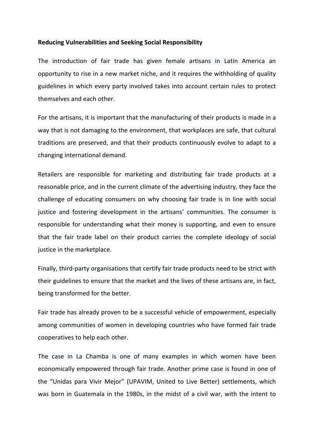#### **Reducing Vulnerabilities and Seeking Social Responsibility**

The introduction of fair trade has given female artisans in Latin America an opportunity to rise in a new market niche, and it requires the withholding of quality guidelines in which every party involved takes into account certain rules to protect themselves and each other.

For the artisans, it is important that the manufacturing of their products is made in a way that is not damaging to the environment, that workplaces are safe, that cultural traditions are preserved, and that their products continuously evolve to adapt to a changing international demand.

Retailers are responsible for marketing and distributing fair trade products at a reasonable price, and in the current climate of the advertising industry, they face the challenge of educating consumers on why choosing fair trade is in line with social justice and fostering development in the artisans' communities. The consumer is responsible for understanding what their money is supporting, and even to ensure that the fair trade label on their product carries the complete ideology of social justice in the marketplace.

Finally, third-party organisations that certify fair trade products need to be strict with their guidelines to ensure that the market and the lives of these artisans are, in fact, being transformed for the better.

Fair trade has already proven to be a successful vehicle of empowerment, especially among communities of women in developing countries who have formed fair trade cooperatives to help each other.

The case in La Chamba is one of many examples in which women have been economically empowered through fair trade. Another prime case is found in one of the "Unidas para Vivir Mejor" (UPAVIM, United to Live Better) settlements, which was born in Guatemala in the 1980s, in the midst of a civil war, with the intent to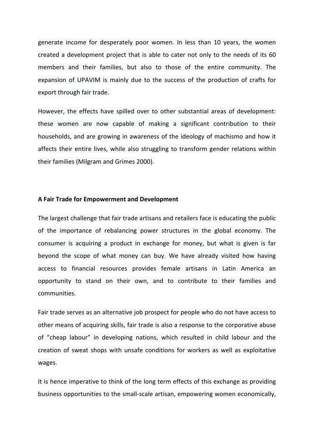generate income for desperately poor women. In less than 10 years, the women created a development project that is able to cater not only to the needs of its 60 members and their families, but also to those of the entire community. The expansion of UPAVIM is mainly due to the success of the production of crafts for export through fair trade.

However, the effects have spilled over to other substantial areas of development: these women are now capable of making a significant contribution to their households, and are growing in awareness of the ideology of machismo and how it affects their entire lives, while also struggling to transform gender relations within their families (Milgram and Grimes 2000).

#### **A Fair Trade for Empowerment and Development**

The largest challenge that fair trade artisans and retailers face is educating the public of the importance of rebalancing power structures in the global economy. The consumer is acquiring a product in exchange for money, but what is given is far beyond the scope of what money can buy. We have already visited how having access to financial resources provides female artisans in Latin America an opportunity to stand on their own, and to contribute to their families and communities.

Fair trade serves as an alternative job prospect for people who do not have access to other means of acquiring skills, fair trade is also a response to the corporative abuse of "cheap labour" in developing nations, which resulted in child labour and the creation of sweat shops with unsafe conditions for workers as well as exploitative wages. 

It is hence imperative to think of the long term effects of this exchange as providing business opportunities to the small-scale artisan, empowering women economically,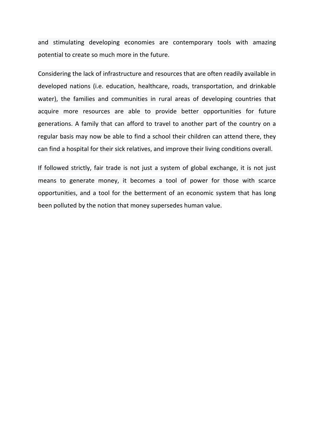and stimulating developing economies are contemporary tools with amazing potential to create so much more in the future.

Considering the lack of infrastructure and resources that are often readily available in developed nations (i.e. education, healthcare, roads, transportation, and drinkable water), the families and communities in rural areas of developing countries that acquire more resources are able to provide better opportunities for future generations. A family that can afford to travel to another part of the country on a regular basis may now be able to find a school their children can attend there, they can find a hospital for their sick relatives, and improve their living conditions overall.

If followed strictly, fair trade is not just a system of global exchange, it is not just means to generate money, it becomes a tool of power for those with scarce opportunities, and a tool for the betterment of an economic system that has long been polluted by the notion that money supersedes human value.